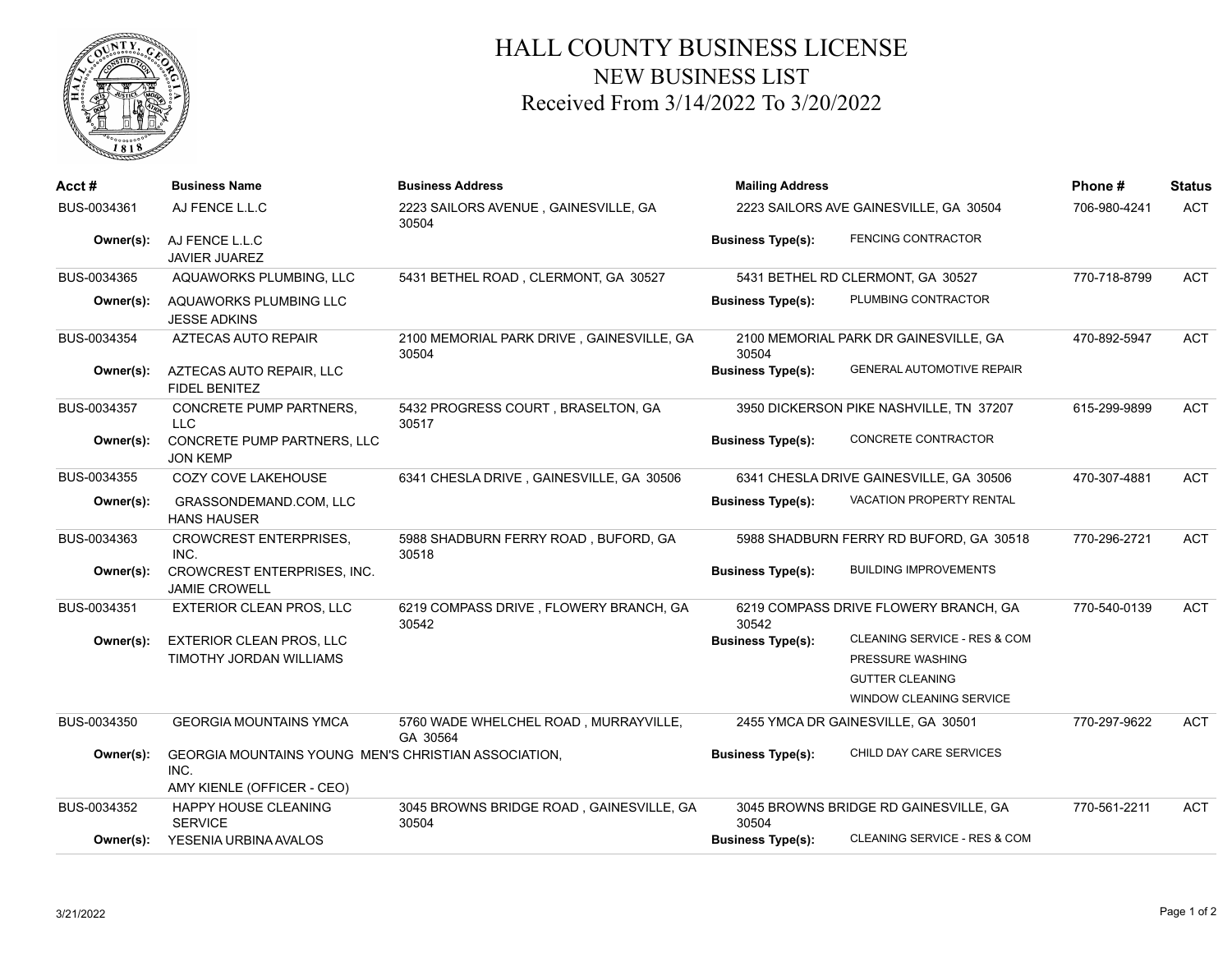

## HALL COUNTY BUSINESS LICENSE NEW BUSINESS LIST Received From 3/14/2022 To 3/20/2022

| Acct#       | <b>Business Name</b>                                                                       | <b>Business Address</b>                            | <b>Mailing Address</b>                              | Phone#                                  | <b>Status</b> |            |
|-------------|--------------------------------------------------------------------------------------------|----------------------------------------------------|-----------------------------------------------------|-----------------------------------------|---------------|------------|
| BUS-0034361 | AJ FENCE L.L.C                                                                             | 2223 SAILORS AVENUE, GAINESVILLE, GA<br>30504      | 2223 SAILORS AVE GAINESVILLE, GA 30504              |                                         | 706-980-4241  | <b>ACT</b> |
| Owner(s):   | AJ FENCE L.L.C<br><b>JAVIER JUAREZ</b>                                                     |                                                    | <b>Business Type(s):</b>                            | FENCING CONTRACTOR                      |               |            |
| BUS-0034365 | AQUAWORKS PLUMBING, LLC                                                                    | 5431 BETHEL ROAD, CLERMONT, GA 30527               | 5431 BETHEL RD CLERMONT, GA 30527                   |                                         | 770-718-8799  | <b>ACT</b> |
| Owner(s):   | AQUAWORKS PLUMBING LLC<br><b>JESSE ADKINS</b>                                              |                                                    | <b>Business Type(s):</b>                            | PLUMBING CONTRACTOR                     |               |            |
| BUS-0034354 | <b>AZTECAS AUTO REPAIR</b>                                                                 | 2100 MEMORIAL PARK DRIVE, GAINESVILLE, GA<br>30504 | 30504                                               | 2100 MEMORIAL PARK DR GAINESVILLE, GA   | 470-892-5947  | ACT        |
| Owner(s):   | AZTECAS AUTO REPAIR, LLC<br><b>FIDEL BENITEZ</b>                                           |                                                    | <b>Business Type(s):</b>                            | <b>GENERAL AUTOMOTIVE REPAIR</b>        |               |            |
| BUS-0034357 | <b>CONCRETE PUMP PARTNERS,</b><br><b>LLC</b>                                               | 5432 PROGRESS COURT, BRASELTON, GA<br>30517        |                                                     | 3950 DICKERSON PIKE NASHVILLE, TN 37207 | 615-299-9899  | <b>ACT</b> |
| Owner(s):   | CONCRETE PUMP PARTNERS, LLC<br><b>JON KEMP</b>                                             |                                                    | <b>Business Type(s):</b>                            | CONCRETE CONTRACTOR                     |               |            |
| BUS-0034355 | COZY COVE LAKEHOUSE                                                                        | 6341 CHESLA DRIVE, GAINESVILLE, GA 30506           |                                                     | 6341 CHESLA DRIVE GAINESVILLE, GA 30506 | 470-307-4881  | <b>ACT</b> |
| Owner(s):   | GRASSONDEMAND.COM, LLC<br><b>HANS HAUSER</b>                                               |                                                    | <b>Business Type(s):</b>                            | <b>VACATION PROPERTY RENTAL</b>         |               |            |
| BUS-0034363 | <b>CROWCREST ENTERPRISES.</b><br>INC.                                                      | 5988 SHADBURN FERRY ROAD, BUFORD, GA<br>30518      |                                                     | 5988 SHADBURN FERRY RD BUFORD, GA 30518 | 770-296-2721  | <b>ACT</b> |
| Owner(s):   | <b>CROWCREST ENTERPRISES, INC.</b><br><b>JAMIE CROWELL</b>                                 |                                                    | <b>Business Type(s):</b>                            | <b>BUILDING IMPROVEMENTS</b>            |               |            |
| BUS-0034351 | EXTERIOR CLEAN PROS, LLC                                                                   | 6219 COMPASS DRIVE, FLOWERY BRANCH, GA<br>30542    | 30542                                               | 6219 COMPASS DRIVE FLOWERY BRANCH, GA   | 770-540-0139  | <b>ACT</b> |
| Owner(s):   | <b>EXTERIOR CLEAN PROS, LLC</b>                                                            |                                                    | <b>Business Type(s):</b>                            | CLEANING SERVICE - RES & COM            |               |            |
|             | TIMOTHY JORDAN WILLIAMS                                                                    |                                                    |                                                     | PRESSURE WASHING                        |               |            |
|             |                                                                                            |                                                    |                                                     | <b>GUTTER CLEANING</b>                  |               |            |
|             |                                                                                            |                                                    |                                                     | <b>WINDOW CLEANING SERVICE</b>          |               |            |
| BUS-0034350 | <b>GEORGIA MOUNTAINS YMCA</b>                                                              | 5760 WADE WHELCHEL ROAD, MURRAYVILLE,<br>GA 30564  | 2455 YMCA DR GAINESVILLE, GA 30501                  |                                         | 770-297-9622  | <b>ACT</b> |
| Owner(s):   | GEORGIA MOUNTAINS YOUNG MEN'S CHRISTIAN ASSOCIATION.<br>INC.<br>AMY KIENLE (OFFICER - CEO) |                                                    | CHILD DAY CARE SERVICES<br><b>Business Type(s):</b> |                                         |               |            |
| BUS-0034352 | HAPPY HOUSE CLEANING<br><b>SERVICE</b>                                                     | 3045 BROWNS BRIDGE ROAD, GAINESVILLE, GA<br>30504  | 30504                                               | 3045 BROWNS BRIDGE RD GAINESVILLE, GA   | 770-561-2211  | ACT        |
| Owner(s):   | YESENIA URBINA AVALOS                                                                      |                                                    | <b>Business Type(s):</b>                            | CLEANING SERVICE - RES & COM            |               |            |
|             |                                                                                            |                                                    |                                                     |                                         |               |            |